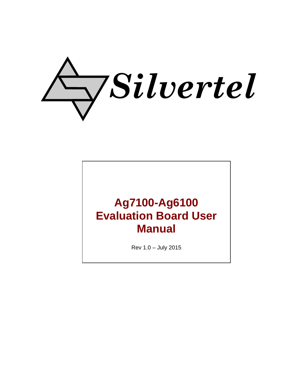

# **Ag7100-Ag6100 Evaluation Board User Manual**

Rev 1.0 – July 2015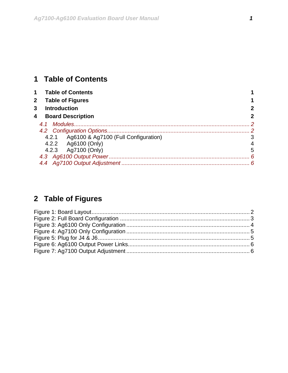# <span id="page-1-0"></span>**1 Table of Contents**

| $\mathbf 1$  | <b>Table of Contents</b>                   |               |
|--------------|--------------------------------------------|---------------|
| $\mathbf{2}$ | <b>Table of Figures</b>                    |               |
| 3            | <b>Introduction</b>                        |               |
| 4            | <b>Board Description</b>                   | 2             |
|              |                                            | $\mathcal{P}$ |
|              |                                            |               |
|              | 4.2.1 Ag6100 & Ag7100 (Full Configuration) | 3             |
|              | 4.2.2 Ag6100 (Only)                        | 4             |
|              | 4.2.3 Ag7100 (Only)                        | 5             |
|              |                                            | 6             |
|              |                                            |               |

# **2 Table of Figures**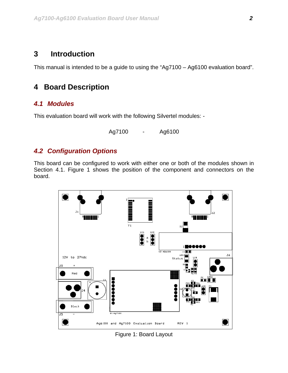## <span id="page-2-0"></span>**3 Introduction**

This manual is intended to be a guide to using the "Ag7100 – Ag6100 evaluation board".

# **4 Board Description**

#### *4.1 Modules*

This evaluation board will work with the following Silvertel modules: -

Ag7100 - Ag6100

## *4.2 Configuration Options*

This board can be configured to work with either one or both of the modules shown in Section 4.1. Figure 1 shows the position of the component and connectors on the board.



Figure 1: Board Layout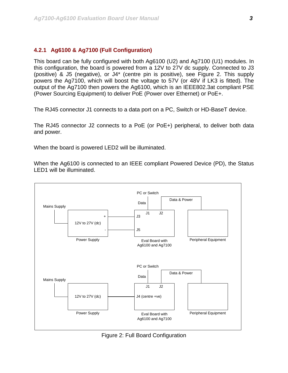#### <span id="page-3-0"></span>**4.2.1 Ag6100 & Ag7100 (Full Configuration)**

This board can be fully configured with both Ag6100 (U2) and Ag7100 (U1) modules. In this configuration, the board is powered from a 12V to 27V dc supply. Connected to J3 (positive) & J5 (negative), or J4\* (centre pin is positive), see Figure 2. This supply powers the Ag7100, which will boost the voltage to 57V (or 48V if LK3 is fitted). The output of the Ag7100 then powers the Ag6100, which is an IEEE802.3at compliant PSE (Power Sourcing Equipment) to deliver PoE (Power over Ethernet) or PoE+.

The RJ45 connector J1 connects to a data port on a PC, Switch or HD-BaseT device.

The RJ45 connector J2 connects to a PoE (or PoE+) peripheral, to deliver both data and power.

When the board is powered LED2 will be illuminated.

When the Ag6100 is connected to an IEEE compliant Powered Device (PD), the Status LED1 will be illuminated.



Figure 2: Full Board Configuration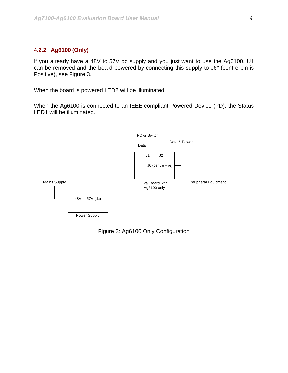#### <span id="page-4-0"></span>**4.2.2 Ag6100 (Only)**

If you already have a 48V to 57V dc supply and you just want to use the Ag6100. U1 can be removed and the board powered by connecting this supply to J6\* (centre pin is Positive), see Figure 3.

When the board is powered LED2 will be illuminated.

When the Ag6100 is connected to an IEEE compliant Powered Device (PD), the Status LED1 will be illuminated.



Figure 3: Ag6100 Only Configuration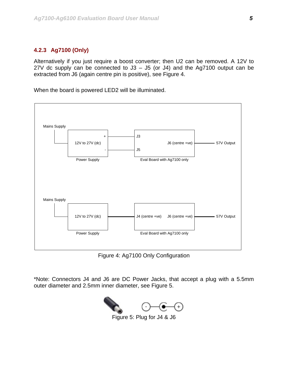#### <span id="page-5-0"></span>**4.2.3 Ag7100 (Only)**

Alternatively if you just require a boost converter; then U2 can be removed. A 12V to 27V dc supply can be connected to  $J3 - J5$  (or  $J4$ ) and the Ag7100 output can be extracted from J6 (again centre pin is positive), see Figure 4.

When the board is powered LED2 will be illuminated.



Figure 4: Ag7100 Only Configuration

\*Note: Connectors J4 and J6 are DC Power Jacks, that accept a plug with a 5.5mm outer diameter and 2.5mm inner diameter, see Figure 5.



Figure 5: Plug for J4 & J6